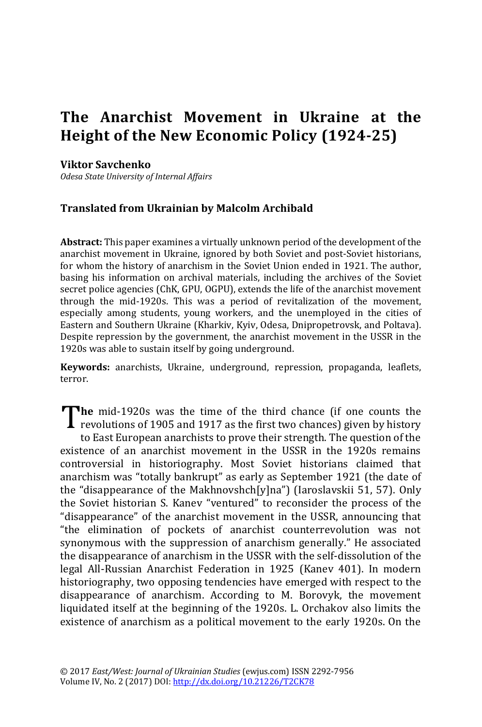## **The Anarchist Movement in Ukraine at the Height of the New Economic Policy (1924-25)**

## **Viktor Savchenko**

*Odesa State University of Internal Affairs*

## **Translated from Ukrainian by Malcolm Archibald**

**Abstract:** This paper examines a virtually unknown period of the development of the anarchist movement in Ukraine, ignored by both Soviet and post-Soviet historians, for whom the history of anarchism in the Soviet Union ended in 1921. The author, basing his information on archival materials, including the archives of the Soviet secret police agencies (ChK, GPU, OGPU), extends the life of the anarchist movement through the mid-1920s. This was a period of revitalization of the movement, especially among students, young workers, and the unemployed in the cities of Eastern and Southern Ukraine (Kharkiv, Kyiv, Odesa, Dnipropetrovsk, and Poltava). Despite repression by the government, the anarchist movement in the USSR in the 1920s was able to sustain itself by going underground.

**Keywords:** anarchists, Ukraine, underground, repression, propaganda, leaflets, terror.

**he** mid-1920s was the time of the third chance (if one counts the The mid-1920s was the time of the third chance (if one counts the revolutions of 1905 and 1917 as the first two chances) given by history

to East European anarchists to prove their strength. The question of the existence of an anarchist movement in the USSR in the 1920s remains controversial in historiography. Most Soviet historians claimed that anarchism was "totally bankrupt" as early as September 1921 (the date of the "disappearance of the Makhnovshch[y]na") (Iaroslavskii 51, 57). Only the Soviet historian S. Kanev "ventured" to reconsider the process of the "disappearance" of the anarchist movement in the USSR, announcing that "the elimination of pockets of anarchist counterrevolution was not synonymous with the suppression of anarchism generally." He associated the disappearance of anarchism in the USSR with the self-dissolution of the legal All-Russian Anarchist Federation in 1925 (Kanev 401). In modern historiography, two opposing tendencies have emerged with respect to the disappearance of anarchism. According to M. Borovyk, the movement liquidated itself at the beginning of the 1920s. L. Orchakov also limits the existence of anarchism as a political movement to the early 1920s. On the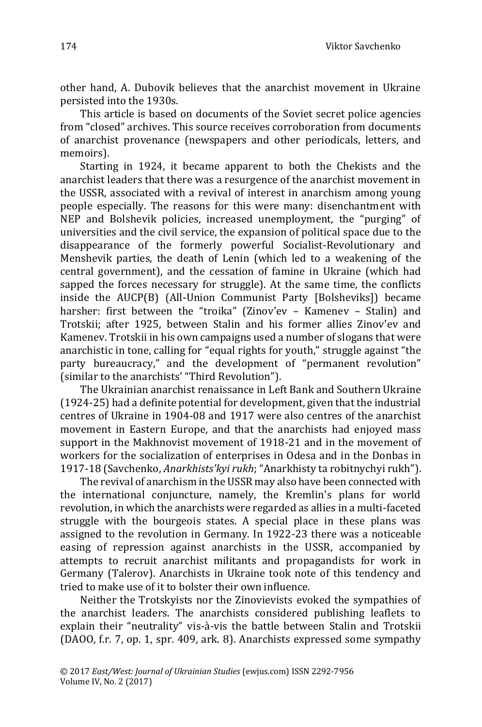other hand, A. Dubovik believes that the anarchist movement in Ukraine persisted into the 1930s.

This article is based on documents of the Soviet secret police agencies from "closed" archives. This source receives corroboration from documents of anarchist provenance (newspapers and other periodicals, letters, and memoirs).

Starting in 1924, it became apparent to both the Chekists and the anarchist leaders that there was a resurgence of the anarchist movement in the USSR, associated with a revival of interest in anarchism among young people especially. The reasons for this were many: disenchantment with NEP and Bolshevik policies, increased unemployment, the "purging" of universities and the civil service, the expansion of political space due to the disappearance of the formerly powerful Socialist-Revolutionary and Menshevik parties, the death of Lenin (which led to a weakening of the central government), and the cessation of famine in Ukraine (which had sapped the forces necessary for struggle). At the same time, the conflicts inside the AUCP(B) (All-Union Communist Party [Bolsheviks]) became harsher: first between the "troika" (Zinov'ev – Kamenev – Stalin) and Trotskii; after 1925, between Stalin and his former allies Zinov'ev and Kamenev. Trotskii in his own campaigns used a number of slogans that were anarchistic in tone, calling for "equal rights for youth," struggle against "the party bureaucracy," and the development of "permanent revolution" (similar to the anarchists' "Third Revolution").

The Ukrainian anarchist renaissance in Left Bank and Southern Ukraine (1924-25) had a definite potential for development, given that the industrial centres of Ukraine in 1904-08 and 1917 were also centres of the anarchist movement in Eastern Europe, and that the anarchists had enjoyed mass support in the Makhnovist movement of 1918-21 and in the movement of workers for the socialization of enterprises in Odesa and in the Donbas in 1917-18 (Savchenko, *Anarkhistsʹkyi rukh*; "Anarkhisty ta robitnychyi rukh").

The revival of anarchism in the USSR may also have been connected with the international conjuncture, namely, the Kremlin's plans for world revolution, in which the anarchists were regarded as allies in a multi-faceted struggle with the bourgeois states. A special place in these plans was assigned to the revolution in Germany. In 1922-23 there was a noticeable easing of repression against anarchists in the USSR, accompanied by attempts to recruit anarchist militants and propagandists for work in Germany (Talerov). Anarchists in Ukraine took note of this tendency and tried to make use of it to bolster their own influence.

Neither the Trotskyists nor the Zinovievists evoked the sympathies of the anarchist leaders. The anarchists considered publishing leaflets to explain their "neutrality" vis-à-vis the battle between Stalin and Trotskii (DAOO, f.r. 7, op. 1, spr. 409, ark. 8). Anarchists expressed some sympathy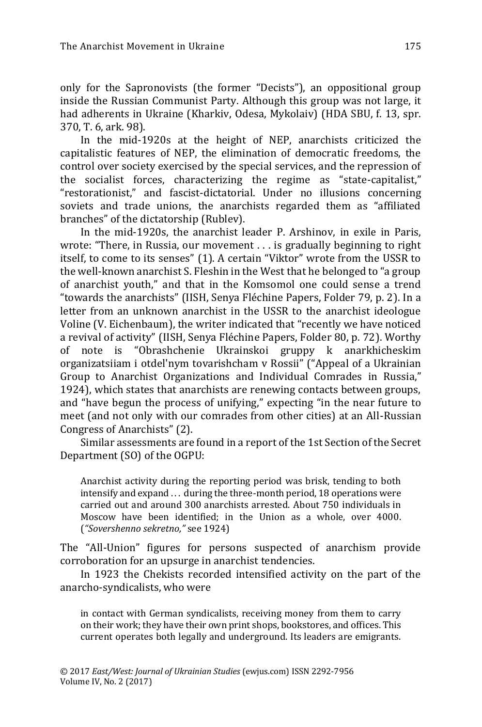only for the Sapronovists (the former "Decists"), an oppositional group inside the Russian Communist Party. Although this group was not large, it had adherents in Ukraine (Kharkiv, Odesa, Mykolaiv) (HDA SBU, f. 13, spr. 370, T. 6, ark. 98).

In the mid-1920s at the height of NEP, anarchists criticized the capitalistic features of NEP, the elimination of democratic freedoms, the control over society exercised by the special services, and the repression of the socialist forces, characterizing the regime as "state-capitalist," "restorationist," and fascist-dictatorial. Under no illusions concerning soviets and trade unions, the anarchists regarded them as "affiliated branches" of the dictatorship (Rublev).

In the mid-1920s, the anarchist leader P. Arshinov, in exile in Paris, wrote: "There, in Russia, our movement . . . is gradually beginning to right itself, to come to its senses" (1). A certain "Viktor" wrote from the USSR to the well-known anarchist S. Fleshin in the West that he belonged to "a group of anarchist youth," and that in the Komsomol one could sense a trend "towards the anarchists" (IISH, Senya Fléchine Papers, Folder 79, p. 2). In a letter from an unknown anarchist in the USSR to the anarchist ideologue Voline (V. Eichenbaum), the writer indicated that "recently we have noticed a revival of activity" (IISH, Senya Fléchine Papers, Folder 80, p. 72). Worthy of note is "Obrashchenie Ukrainskoi gruppy k anarkhicheskim organizatsiiam i otdel'nym tovarishcham v Rossii" ("Appeal of a Ukrainian Group to Anarchist Organizations and Individual Comrades in Russia," 1924), which states that anarchists are renewing contacts between groups, and "have begun the process of unifying," expecting "in the near future to meet (and not only with our comrades from other cities) at an All-Russian Congress of Anarchists" (2).

Similar assessments are found in a report of the 1st Section of the Secret Department (SO) of the OGPU:

Anarchist activity during the reporting period was brisk, tending to both intensify and expand . . . during the three-month period, 18 operations were carried out and around 300 anarchists arrested. About 750 individuals in Moscow have been identified; in the Union as a whole, over 4000. (*"Sovershenno sekretno,"* see 1924)

The "All-Union" figures for persons suspected of anarchism provide corroboration for an upsurge in anarchist tendencies.

In 1923 the Chekists recorded intensified activity on the part of the anarcho-syndicalists, who were

in contact with German syndicalists, receiving money from them to carry on their work; they have their own print shops, bookstores, and offices. This current operates both legally and underground. Its leaders are emigrants.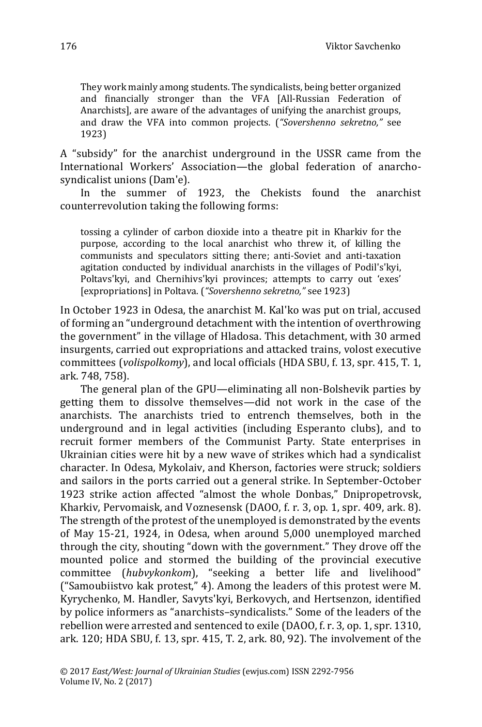They work mainly among students. The syndicalists, being better organized and financially stronger than the VFA [All-Russian Federation of Anarchists], are aware of the advantages of unifying the anarchist groups, and draw the VFA into common projects. (*"Sovershenno sekretno,"* see 1923)

A "subsidy" for the anarchist underground in the USSR came from the International Workers' Association—the global federation of anarchosyndicalist unions (Dam'e).

In the summer of 1923, the Chekists found the anarchist counterrevolution taking the following forms:

tossing a cylinder of carbon dioxide into a theatre pit in Kharkiv for the purpose, according to the local anarchist who threw it, of killing the communists and speculators sitting there; anti-Soviet and anti-taxation agitation conducted by individual anarchists in the villages of Podil's'kyi, Poltavs'kyi, and Chernihivs'kyi provinces; attempts to carry out 'exes' [expropriations] in Poltava. (*"Sovershenno sekretno,"* see 1923)

In October 1923 in Odesa, the anarchist M. Kal'ko was put on trial, accused of forming an "underground detachment with the intention of overthrowing the government" in the village of Hladosa. This detachment, with 30 armed insurgents, carried out expropriations and attacked trains, volost executive committees (*volispolkomy*), and local officials (HDA SBU, f. 13, spr. 415, T. 1, ark. 748, 758).

The general plan of the GPU—eliminating all non-Bolshevik parties by getting them to dissolve themselves—did not work in the case of the anarchists. The anarchists tried to entrench themselves, both in the underground and in legal activities (including Esperanto clubs), and to recruit former members of the Communist Party. State enterprises in Ukrainian cities were hit by a new wave of strikes which had a syndicalist character. In Odesa, Mykolaiv, and Kherson, factories were struck; soldiers and sailors in the ports carried out a general strike. In September-October 1923 strike action affected "almost the whole Donbas," Dnipropetrovsk, Kharkiv, Pervomaisk, and Voznesensk (DAOO, f. r. 3, op. 1, spr. 409, ark. 8). The strength of the protest of the unemployed is demonstrated by the events of May 15-21, 1924, in Odesa, when around 5,000 unemployed marched through the city, shouting "down with the government." They drove off the mounted police and stormed the building of the provincial executive committee (*hubvykonkom*), "seeking a better life and livelihood" ("Samoubiistvo kak protest," 4). Among the leaders of this protest were M. Kyrychenko, M. Handler, Savyts'kyi, Berkovych, and Hertsenzon, identified by police informers as "anarchists–syndicalists." Some of the leaders of the rebellion were arrested and sentenced to exile (DAOO, f. r. 3, op. 1, spr. 1310, ark. 120; HDA SBU, f. 13, spr. 415, T. 2, ark. 80, 92). The involvement of the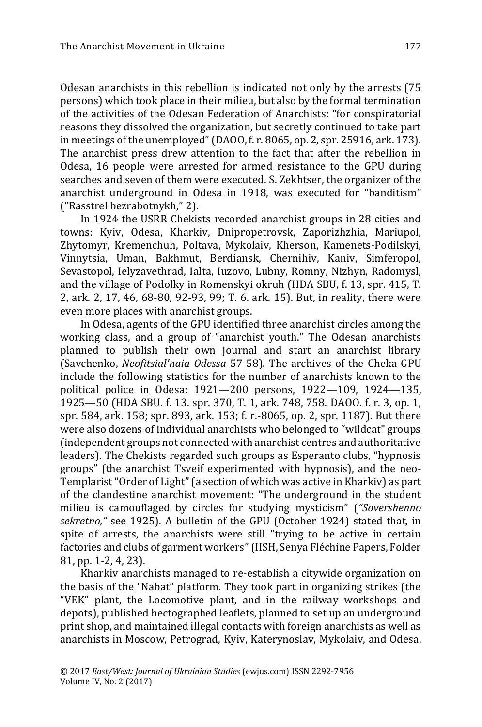Odesan anarchists in this rebellion is indicated not only by the arrests (75 persons) which took place in their milieu, but also by the formal termination of the activities of the Odesan Federation of Anarchists: "for conspiratorial reasons they dissolved the organization, but secretly continued to take part in meetings of the unemployed"(DAOO, f. r. 8065, op. 2, spr. 25916, ark. 173). The anarchist press drew attention to the fact that after the rebellion in Odesa, 16 people were arrested for armed resistance to the GPU during searches and seven of them were executed. S. Zekhtser, the organizer of the anarchist underground in Odesa in 1918, was executed for "banditism" ("Rasstrel bezrabotnykh," 2).

In 1924 the USRR Chekists recorded anarchist groups in 28 cities and towns: Kyiv, Odesa, Kharkiv, Dnipropetrovsk, Zaporizhzhia, Mariupol, Zhytomyr, Kremenchuh, Poltava, Mykolaiv, Kherson, Kamenets-Podilskyi, Vinnytsia, Uman, Bakhmut, Berdiansk, Chernihiv, Kaniv, Simferopol, Sevastopol, Ielyzavethrad, Ialta, Iuzovo, Lubny, Romny, Nizhyn, Radomysl, and the village of Podolky in Romenskyi okruh (HDA SBU, f. 13, spr. 415, T. 2, ark. 2, 17, 46, 68-80, 92-93, 99; T. 6. ark. 15). But, in reality, there were even more places with anarchist groups.

In Odesa, agents of the GPU identified three anarchist circles among the working class, and a group of "anarchist youth." The Odesan anarchists planned to publish their own journal and start an anarchist library (Savchenko, *Neofitsial'naia Odessa* 57-58). The archives of the Cheka-GPU include the following statistics for the number of anarchists known to the political police in Odesa: 1921—200 persons, 1922—109, 1924—135, 1925—50 (HDA SBU. f. 13. spr. 370, T. 1, ark. 748, 758. DAOO. f. r. 3, op. 1, spr. 584, ark. 158; spr. 893, ark. 153; f. r.-8065, op. 2, spr. 1187). But there were also dozens of individual anarchists who belonged to "wildcat" groups (independent groups not connected with anarchist centres and authoritative leaders). The Chekists regarded such groups as Esperanto clubs, "hypnosis groups" (the anarchist Tsveif experimented with hypnosis), and the neo-Templarist "Order of Light" (a section of which was active in Kharkiv) as part of the clandestine anarchist movement: "The underground in the student milieu is camouflaged by circles for studying mysticism" (*"Sovershenno sekretno,"* see 1925). A bulletin of the GPU (October 1924) stated that, in spite of arrests, the anarchists were still "trying to be active in certain factories and clubs of garment workers"(IISH, Senya Fléchine Papers, Folder 81, pp. 1-2, 4, 23).

Kharkiv anarchists managed to re-establish a citywide organization on the basis of the "Nabat" platform. They took part in organizing strikes (the "VEK" plant, the Locomotive plant, and in the railway workshops and depots), published hectographed leaflets, planned to set up an underground print shop, and maintained illegal contacts with foreign anarchists as well as anarchists in Moscow, Petrograd, Kyiv, Katerynoslav, Mykolaiv, and Odesa.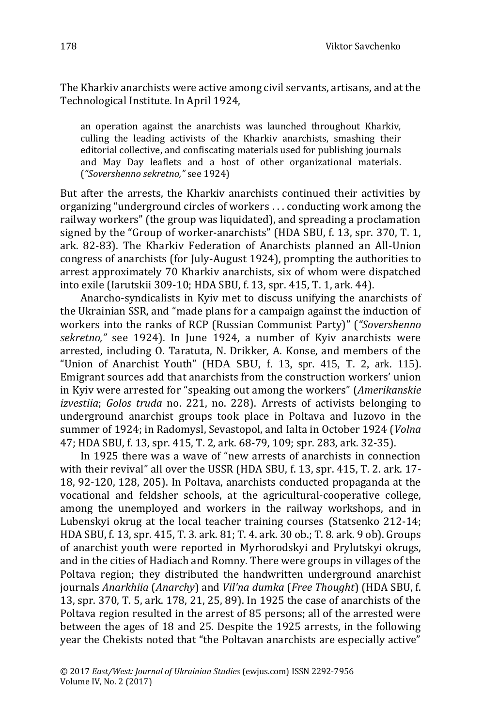The Kharkiv anarchists were active among civil servants, artisans, and at the Technological Institute. In April 1924,

an operation against the anarchists was launched throughout Kharkiv, culling the leading activists of the Kharkiv anarchists, smashing their editorial collective, and confiscating materials used for publishing journals and May Day leaflets and a host of other organizational materials. (*"Sovershenno sekretno,"* see 1924)

But after the arrests, the Kharkiv anarchists continued their activities by organizing "underground circles of workers . . . conducting work among the railway workers" (the group was liquidated), and spreading a proclamation signed by the "Group of worker-anarchists" (HDA SBU, f. 13, spr. 370, T. 1, ark. 82-83). The Kharkiv Federation of Anarchists planned an All-Union congress of anarchists (for July-August 1924), prompting the authorities to arrest approximately 70 Kharkiv anarchists, six of whom were dispatched into exile (Iarutskii 309-10; HDA SBU, f. 13, spr. 415, T. 1, ark. 44).

Anarcho-syndicalists in Kyiv met to discuss unifying the anarchists of the Ukrainian SSR, and "made plans for a campaign against the induction of workers into the ranks of RCP (Russian Communist Party)" (*"Sovershenno sekretno,"* see 1924). In June 1924, a number of Kyiv anarchists were arrested, including O. Taratuta, N. Drikker, A. Konse, and members of the "Union of Anarchist Youth" (HDA SBU, f. 13, spr. 415, T. 2, ark. 115). Emigrant sources add that anarchists from the construction workers' union in Kyiv were arrested for "speaking out among the workers" (*Amerikanskie izvestiia*; *Golos truda* no. 221, no. 228). Arrests of activists belonging to underground anarchist groups took place in Poltava and Iuzovo in the summer of 1924; in Radomysl, Sevastopol, and Ialta in October 1924 (*Volna* 47; HDA SBU, f. 13, spr. 415, T. 2, ark. 68-79, 109; spr. 283, ark. 32-35).

In 1925 there was a wave of "new arrests of anarchists in connection with their revival" all over the USSR (HDA SBU, f. 13, spr. 415, T. 2. ark. 17- 18, 92-120, 128, 205). In Poltava, anarchists conducted propaganda at the vocational and feldsher schools, at the agricultural-cooperative college, among the unemployed and workers in the railway workshops, and in Lubenskyi okrug at the local teacher training courses (Statsenko 212-14; HDA SBU, f. 13, spr. 415, T. 3. ark. 81; T. 4. ark. 30 ob.; T. 8. ark. 9 ob). Groups of anarchist youth were reported in Myrhorodskyi and Prylutskyi okrugs, and in the cities of Hadiach and Romny. There were groups in villages of the Poltava region; they distributed the handwritten underground anarchist journals *Anarkhiia* (*Anarchy*) and *Vil'na dumka* (*Free Thought*) (HDA SBU, f. 13, spr. 370, T. 5, ark. 178, 21, 25, 89). In 1925 the case of anarchists of the Poltava region resulted in the arrest of 85 persons; all of the arrested were between the ages of 18 and 25. Despite the 1925 arrests, in the following year the Chekists noted that "the Poltavan anarchists are especially active"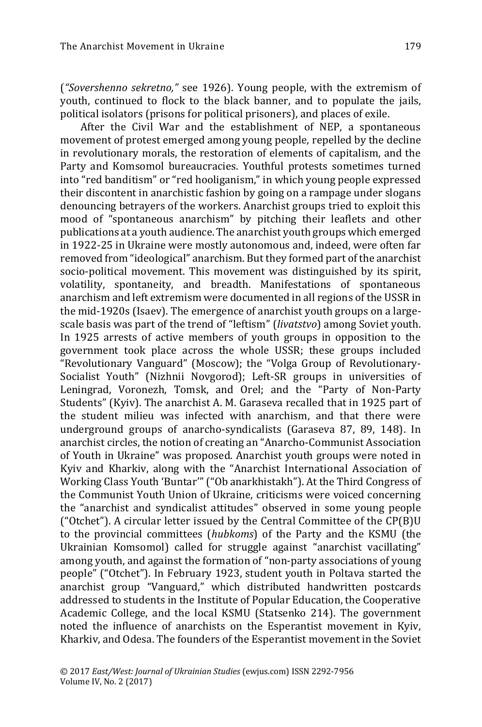(*"Sovershenno sekretno,"* see 1926). Young people, with the extremism of youth, continued to flock to the black banner, and to populate the jails, political isolators (prisons for political prisoners), and places of exile.

After the Civil War and the establishment of NEP, a spontaneous movement of protest emerged among young people, repelled by the decline in revolutionary morals, the restoration of elements of capitalism, and the Party and Komsomol bureaucracies. Youthful protests sometimes turned into "red banditism" or "red hooliganism," in which young people expressed their discontent in anarchistic fashion by going on a rampage under slogans denouncing betrayers of the workers. Anarchist groups tried to exploit this mood of "spontaneous anarchism" by pitching their leaflets and other publications at a youth audience. The anarchist youth groups which emerged in 1922-25 in Ukraine were mostly autonomous and, indeed, were often far removed from "ideological" anarchism. But they formed part of the anarchist socio-political movement. This movement was distinguished by its spirit, volatility, spontaneity, and breadth. Manifestations of spontaneous anarchism and left extremism were documented in all regions of the USSR in the mid-1920s (Isaev). The emergence of anarchist youth groups on a largescale basis was part of the trend of "leftism" (*livatstvo*) among Soviet youth. In 1925 arrests of active members of youth groups in opposition to the government took place across the whole USSR; these groups included "Revolutionary Vanguard" (Moscow); the "Volga Group of Revolutionary-Socialist Youth" (Nizhnii Novgorod); Left-SR groups in universities of Leningrad, Voronezh, Tomsk, and Orel; and the "Party of Non-Party Students" (Kyiv). The anarchist A. M. Garaseva recalled that in 1925 part of the student milieu was infected with anarchism, and that there were underground groups of anarcho-syndicalists (Garaseva 87, 89, 148). In anarchist circles, the notion of creating an "Anarcho-Communist Association of Youth in Ukraine" was proposed. Anarchist youth groups were noted in Kyiv and Kharkiv, along with the "Anarchist International Association of Working Class Youth 'Buntar'" ("Ob anarkhistakh"). At the Third Congress of the Communist Youth Union of Ukraine, criticisms were voiced concerning the "anarchist and syndicalist attitudes" observed in some young people ("Otchet"). A circular letter issued by the Central Committee of the CP(B)U to the provincial committees (*hubkoms*) of the Party and the KSMU (the Ukrainian Komsomol) called for struggle against "anarchist vacillating" among youth, and against the formation of "non-party associations of young people" ("Otchet"). In February 1923, student youth in Poltava started the anarchist group "Vanguard," which distributed handwritten postcards addressed to students in the Institute of Popular Education, the Cooperative Academic College, and the local KSMU (Statsenko 214). The government noted the influence of anarchists on the Esperantist movement in Kyiv, Kharkiv, and Odesa. The founders of the Esperantist movement in the Soviet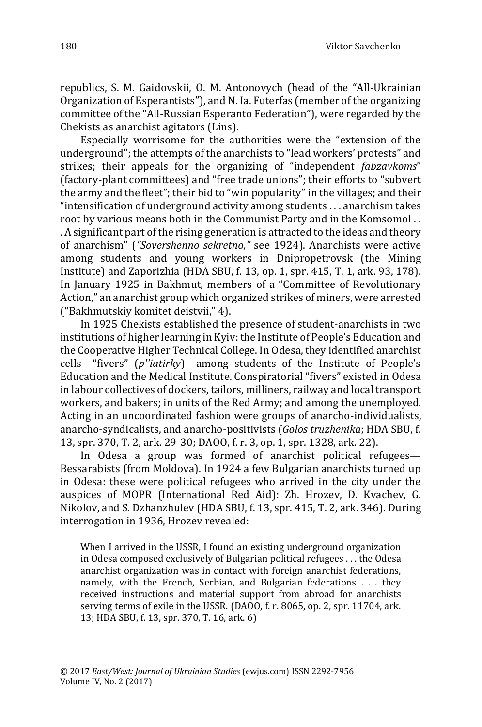republics, S. M. Gaidovskii, O. M. Antonovych (head of the "All-Ukrainian Organization of Esperantists"), and N. Ia. Futerfas (member of the organizing committee of the "All-Russian Esperanto Federation"), were regarded by the Chekists as anarchist agitators (Lins).

Especially worrisome for the authorities were the "extension of the underground"; the attempts of the anarchists to "lead workers' protests" and strikes; their appeals for the organizing of "independent *fabzavkoms*" (factory-plant committees) and "free trade unions"; their efforts to "subvert the army and the fleet"; their bid to "win popularity" in the villages; and their "intensification of underground activity among students . . . anarchism takes root by various means both in the Communist Party and in the Komsomol . . . A significant part of the rising generation is attracted to the ideas and theory of anarchism" (*"Sovershenno sekretno,"* see 1924). Anarchists were active among students and young workers in Dnipropetrovsk (the Mining Institute) and Zaporizhia (HDA SBU, f. 13, op. 1, spr. 415, T. 1, ark. 93, 178). In January 1925 in Bakhmut, members of a "Committee of Revolutionary Action," an anarchist group which organized strikes of miners, were arrested ("Bakhmutskiy komitet deistvii," 4).

In 1925 Chekists established the presence of student-anarchists in two institutions of higher learning in Kyiv: the Institute of People's Education and the Cooperative Higher Technical College. In Odesa, they identified anarchist cells—"fivers" (*p''iatirky*)—among students of the Institute of People's Education and the Medical Institute. Conspiratorial "fivers" existed in Odesa in labour collectives of dockers, tailors, milliners, railway and local transport workers, and bakers; in units of the Red Army; and among the unemployed. Acting in an uncoordinated fashion were groups of anarcho-individualists, anarcho-syndicalists, and anarcho-positivists (*Golos truzhenika*; HDA SBU, f. 13, spr. 370, T. 2, ark. 29-30; DAOO, f. r. 3, op. 1, spr. 1328, ark. 22).

In Odesa a group was formed of anarchist political refugees— Bessarabists (from Moldova). In 1924 a few Bulgarian anarchists turned up in Odesa: these were political refugees who arrived in the city under the auspices of MOPR (International Red Aid): Zh. Hrozev, D. Kvachev, G. Nikolov, and S. Dzhanzhulev (HDA SBU, f. 13, spr. 415, T. 2, ark. 346). During interrogation in 1936, Hrozev revealed:

When I arrived in the USSR, I found an existing underground organization in Odesa composed exclusively of Bulgarian political refugees . . . the Odesa anarchist organization was in contact with foreign anarchist federations, namely, with the French, Serbian, and Bulgarian federations . . . they received instructions and material support from abroad for anarchists serving terms of exile in the USSR. (DAOO, f. r. 8065, op. 2, spr. 11704, ark. 13; HDA SBU, f. 13, spr. 370, T. 16, ark. 6)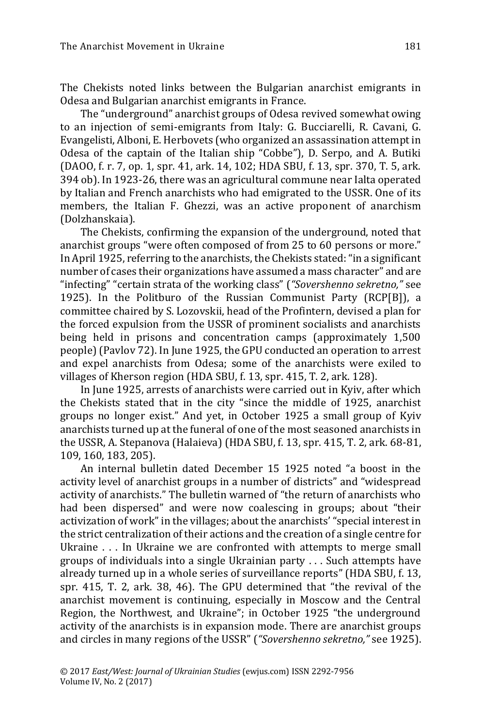The Chekists noted links between the Bulgarian anarchist emigrants in Odesa and Bulgarian anarchist emigrants in France.

The "underground" anarchist groups of Odesa revived somewhat owing to an injection of semi-emigrants from Italy: G. Bucciarelli, R. Cavani, G. Evangelisti, Alboni, E. Herbovets (who organized an assassination attempt in Odesa of the captain of the Italian ship "Cobbe"), D. Serpo, and A. Butiki (DAOO, f. r. 7, op. 1, spr. 41, ark. 14, 102; HDA SBU, f. 13, spr. 370, T. 5, ark. 394 ob). In 1923-26, there was an agricultural commune near Ialta operated by Italian and French anarchists who had emigrated to the USSR. One of its members, the Italian F. Ghezzi, was an active proponent of anarchism (Dolzhanskaia).

The Chekists, confirming the expansion of the underground, noted that anarchist groups "were often composed of from 25 to 60 persons or more." In April 1925, referring to the anarchists, the Chekists stated:"in a significant number of cases their organizations have assumed a mass character" and are "infecting" "certain strata of the working class" (*"Sovershenno sekretno,"* see 1925). In the Politburo of the Russian Communist Party (RCP[B]), a committee chaired by S. Lozovskii, head of the Profintern, devised a plan for the forced expulsion from the USSR of prominent socialists and anarchists being held in prisons and concentration camps (approximately 1,500 people) (Pavlov 72). In June 1925, the GPU conducted an operation to arrest and expel anarchists from Odesa; some of the anarchists were exiled to villages of Kherson region (HDA SBU, f. 13, spr. 415, T. 2, ark. 128).

In June 1925, arrests of anarchists were carried out in Kyiv, after which the Chekists stated that in the city "since the middle of 1925, anarchist groups no longer exist." And yet, in October 1925 a small group of Kyiv anarchists turned up at the funeral of one of the most seasoned anarchists in the USSR, A. Stepanova (Halaieva) (HDA SBU, f. 13, spr. 415, T. 2, ark. 68-81, 109, 160, 183, 205).

An internal bulletin dated December 15 1925 noted "a boost in the activity level of anarchist groups in a number of districts" and "widespread activity of anarchists." The bulletin warned of "the return of anarchists who had been dispersed" and were now coalescing in groups; about "their activization of work" in the villages; about the anarchists' "special interest in the strict centralization of their actions and the creation of a single centre for Ukraine . . . In Ukraine we are confronted with attempts to merge small groups of individuals into a single Ukrainian party . . . Such attempts have already turned up in a whole series of surveillance reports" (HDA SBU, f. 13, spr. 415, T. 2, ark. 38, 46). The GPU determined that "the revival of the anarchist movement is continuing, especially in Moscow and the Central Region, the Northwest, and Ukraine"; in October 1925 "the underground activity of the anarchists is in expansion mode. There are anarchist groups and circles in many regions of the USSR" (*"Sovershenno sekretno,"* see 1925).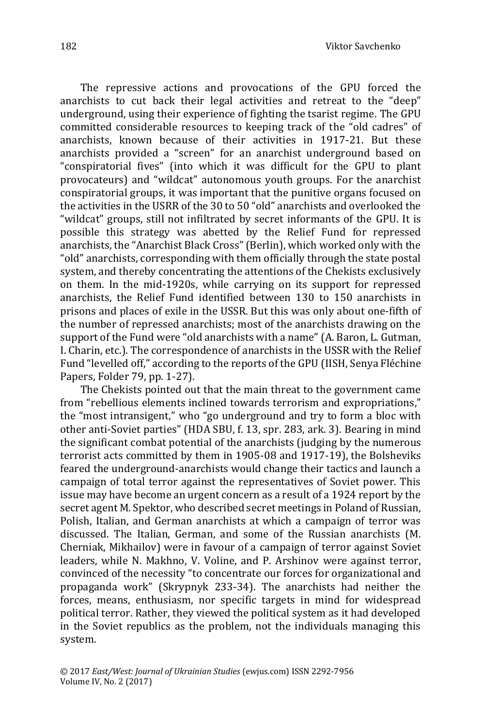The repressive actions and provocations of the GPU forced the anarchists to cut back their legal activities and retreat to the "deep" underground, using their experience of fighting the tsarist regime. The GPU committed considerable resources to keeping track of the "old cadres" of anarchists, known because of their activities in 1917-21. But these anarchists provided a "screen" for an anarchist underground based on "conspiratorial fives" (into which it was difficult for the GPU to plant provocateurs) and "wildcat" autonomous youth groups. For the anarchist conspiratorial groups, it was important that the punitive organs focused on the activities in the USRR of the 30 to 50 "old" anarchists and overlooked the "wildcat" groups, still not infiltrated by secret informants of the GPU. It is possible this strategy was abetted by the Relief Fund for repressed anarchists, the "Anarchist Black Cross" (Berlin), which worked only with the "old" anarchists, corresponding with them officially through the state postal system, and thereby concentrating the attentions of the Chekists exclusively on them. In the mid-1920s, while carrying on its support for repressed anarchists, the Relief Fund identified between 130 to 150 anarchists in prisons and places of exile in the USSR. But this was only about one-fifth of the number of repressed anarchists; most of the anarchists drawing on the support of the Fund were "old anarchists with a name" (A. Baron, L. Gutman, I. Charin, etc.). The correspondence of anarchists in the USSR with the Relief Fund "levelled off," according to the reports of the GPU (IISH, Senya Fléchine Papers, Folder 79, pp. 1-27).

The Chekists pointed out that the main threat to the government came from "rebellious elements inclined towards terrorism and expropriations," the "most intransigent," who "go underground and try to form a bloc with other anti-Soviet parties" (HDA SBU, f. 13, spr. 283, ark. 3). Bearing in mind the significant combat potential of the anarchists (judging by the numerous terrorist acts committed by them in 1905-08 and 1917-19), the Bolsheviks feared the underground-anarchists would change their tactics and launch a campaign of total terror against the representatives of Soviet power. This issue may have become an urgent concern as a result of a 1924 report by the secret agent M. Spektor, who described secret meetings in Poland of Russian, Polish, Italian, and German anarchists at which a campaign of terror was discussed. The Italian, German, and some of the Russian anarchists (M. Cherniak, Mikhailov) were in favour of a campaign of terror against Soviet leaders, while N. Makhno, V. Voline, and P. Arshinov were against terror, convinced of the necessity "to concentrate our forces for organizational and propaganda work" (Skrypnyk 233-34). The anarchists had neither the forces, means, enthusiasm, nor specific targets in mind for widespread political terror. Rather, they viewed the political system as it had developed in the Soviet republics as the problem, not the individuals managing this system.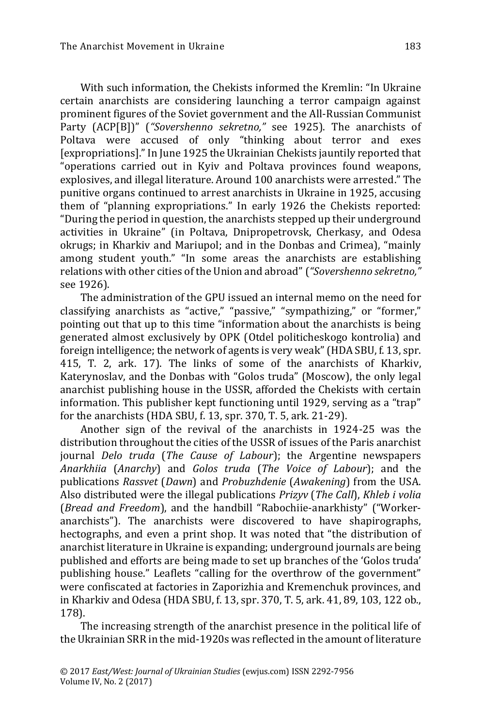With such information, the Chekists informed the Kremlin: "In Ukraine certain anarchists are considering launching a terror campaign against prominent figures of the Soviet government and the All-Russian Communist Party (ACP[B])" (*"Sovershenno sekretno,"* see 1925). The anarchists of Poltava were accused of only "thinking about terror and exes [expropriations]." In June 1925 the Ukrainian Chekists jauntily reported that "operations carried out in Kyiv and Poltava provinces found weapons, explosives, and illegal literature. Around 100 anarchists were arrested." The punitive organs continued to arrest anarchists in Ukraine in 1925, accusing them of "planning expropriations." In early 1926 the Chekists reported: "During the period in question, the anarchists stepped up their underground activities in Ukraine" (in Poltava, Dnipropetrovsk, Cherkasy, and Odesa okrugs; in Kharkiv and Mariupol; and in the Donbas and Crimea), "mainly among student youth." "In some areas the anarchists are establishing relations with other cities of the Union and abroad" (*"Sovershenno sekretno,"* see 1926).

The administration of the GPU issued an internal memo on the need for classifying anarchists as "active," "passive," "sympathizing," or "former," pointing out that up to this time "information about the anarchists is being generated almost exclusively by OPK (Otdel politicheskogo kontrolia) and foreign intelligence; the network of agents is very weak"(HDA SBU, f. 13, spr. 415, T. 2, ark. 17). The links of some of the anarchists of Kharkiv, Katerynoslav, and the Donbas with "Golos truda" (Moscow), the only legal anarchist publishing house in the USSR, afforded the Chekists with certain information. This publisher kept functioning until 1929, serving as a "trap" for the anarchists (HDA SBU, f. 13, spr. 370, T. 5, ark. 21-29).

Another sign of the revival of the anarchists in 1924-25 was the distribution throughout the cities of the USSR of issues of the Paris anarchist journal *Delo truda* (*The Cause of Labour*); the Argentine newspapers *Anarkhiia* (*Anarchy*) and *Golos truda* (*The Voice of Labour*); and the publications *Rassvet* (*Dawn*) and *Probuzhdenie* (*Awakening*) from the USA. Also distributed were the illegal publications *Prizyv* (*The Call*), *Khleb i volia* (*Bread and Freedom*), and the handbill "Rabochiie-anarkhisty" ("Workeranarchists"). The anarchists were discovered to have shapirographs, hectographs, and even a print shop. It was noted that "the distribution of anarchist literature in Ukraine is expanding; underground journals are being published and efforts are being made to set up branches of the 'Golos truda' publishing house." Leaflets "calling for the overthrow of the government" were confiscated at factories in Zaporizhia and Kremenchuk provinces, and in Kharkiv and Odesa (HDA SBU, f. 13, spr. 370, T. 5, ark. 41, 89, 103, 122 ob., 178).

The increasing strength of the anarchist presence in the political life of the Ukrainian SRR in the mid-1920s was reflected in the amount of literature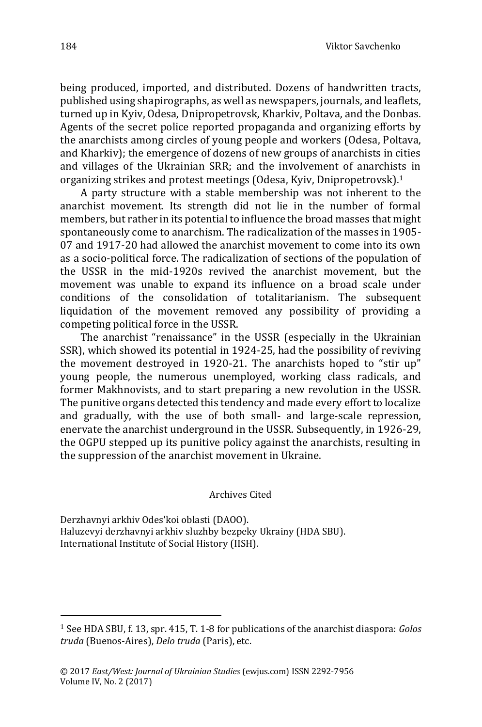being produced, imported, and distributed. Dozens of handwritten tracts, published using shapirographs, as well as newspapers, journals, and leaflets, turned up in Kyiv, Odesa, Dnipropetrovsk, Kharkiv, Poltava, and the Donbas. Agents of the secret police reported propaganda and organizing efforts by the anarchists among circles of young people and workers (Odesa, Poltava, and Kharkiv); the emergence of dozens of new groups of anarchists in cities and villages of the Ukrainian SRR; and the involvement of anarchists in organizing strikes and protest meetings (Odesa, Kyiv, Dnipropetrovsk).<sup>1</sup>

A party structure with a stable membership was not inherent to the anarchist movement. Its strength did not lie in the number of formal members, but rather in its potential to influence the broad masses that might spontaneously come to anarchism. The radicalization of the masses in 1905- 07 and 1917-20 had allowed the anarchist movement to come into its own as a socio-political force. The radicalization of sections of the population of the USSR in the mid-1920s revived the anarchist movement, but the movement was unable to expand its influence on a broad scale under conditions of the consolidation of totalitarianism. The subsequent liquidation of the movement removed any possibility of providing a competing political force in the USSR.

The anarchist "renaissance" in the USSR (especially in the Ukrainian SSR), which showed its potential in 1924-25, had the possibility of reviving the movement destroyed in 1920-21. The anarchists hoped to "stir up" young people, the numerous unemployed, working class radicals, and former Makhnovists, and to start preparing a new revolution in the USSR. The punitive organs detected this tendency and made every effort to localize and gradually, with the use of both small- and large-scale repression, enervate the anarchist underground in the USSR. Subsequently, in 1926-29, the OGPU stepped up its punitive policy against the anarchists, resulting in the suppression of the anarchist movement in Ukraine.

Archives Cited

Derzhavnyi arkhiv Odes'koi oblasti (DAOO). Haluzevyi derzhavnyi arkhiv sluzhby bezpeky Ukrainy (HDA SBU). International Institute of Social History (IISH).

 $\ddot{\phantom{a}}$ 

<sup>1</sup> See HDA SBU, f. 13, spr. 415, T. 1-8 for publications of the anarchist diaspora: *Golos truda* (Buenos-Aires), *Delo truda* (Paris), etc.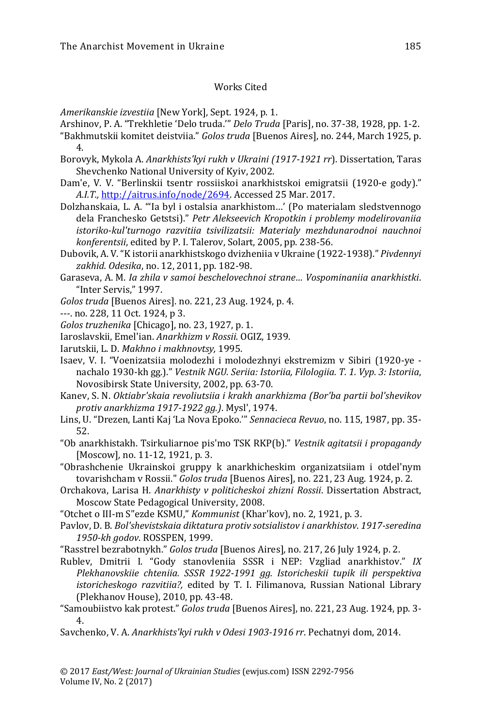## Works Cited

*Amerikanskie izvestiia* [New York], Sept. 1924, p. 1.

- Arshinov, P. A. "Trekhletie 'Delo truda.'" *Delo Truda* [Paris], no. 37-38, 1928, pp. 1-2.
- "Bakhmutskii komitet deistviia." *Golos truda* [Buenos Aires], no. 244, March 1925, p. 4.
- Borovyk, Mykola A. *Anarkhistsʹkyi rukh v Ukraini (1917-1921 rr*). Dissertation, Taras Shevchenko National University of Kyiv, 2002.
- Dam'e, V. V. "Berlinskii tsentr rossiiskoi anarkhistskoi emigratsii (1920-e gody)." *A.I.T.,* [http://aitrus.info/node/2694.](http://aitrus.info/node/2694) Accessed 25 Mar. 2017.
- Dolzhanskaia, L. A. "'Ia byl i ostalsia anarkhistom…' (Po materialam sledstvennogo dela Franchesko Getstsi)." *Petr Alekseevich Kropotkin i problemy modelirovaniia istoriko-kul'turnogo razvitiia tsivilizatsii: Materialy mezhdunarodnoi nauchnoi konferentsii*, edited by P. I. Talerov, Solart, 2005, pp. 238-56.
- Dubovik, A. V."K istorii anarkhistskogo dvizheniia v Ukraine (1922-1938)." *Pivdennyi zakhid. Odesika*, no. 12, 2011, pp. 182-98.
- Garaseva, A. M. *Ia zhila v samoi beschelovechnoi strane… Vospominaniia anarkhistki*. "Inter Servis," 1997.
- *Golos truda* [Buenos Aires]. no. 221, 23 Aug. 1924, p. 4.
- ---. no. 228, 11 Oct. 1924, p 3.
- *Golos truzhenika* [Chicago], no. 23, 1927, p. 1.
- Iaroslavskii, Emel'ian. *Anarkhizm v Rossii.* OGIZ, 1939.
- Iarutskii, L. D. *Makhno i makhnovtsy,* 1995.
- Isaev, V. I. "Voenizatsiia molodezhi i molodezhnyi ekstremizm v Sibiri (1920-ye nachalo 1930-kh gg.)." *Vestnik NGU. Seriia: Istoriia, Filologiia. T. 1. Vyp. 3: Istoriia*, Novosibirsk State University, 2002, pp. 63-70.
- Kanev, S. N. *Oktiabr'skaia revoliutsiia i krakh anarkhizma (Bor'ba partii bol'shevikov protiv anarkhizma 1917-1922 gg.)*. Mysl', 1974.
- Lins, U. "Drezen, Lanti Kaj 'La Nova Epoko.'" *Sennacieca Revuo*, no. 115, 1987, pp. 35- 52.
- "Ob anarkhistakh. Tsirkuliarnoe pis'mo TSK RKP(b)." *Vestnik agitatsii i propagandy*  [Moscow]*,* no. 11-12, 1921, p. 3.
- "Obrashchenie Ukrainskoi gruppy k anarkhicheskim organizatsiiam i otdel'nym tovarishcham v Rossii." *Golos truda* [Buenos Aires], no. 221, 23 Aug. 1924, p. 2.
- Orchakova, Larisa H. *Anarkhisty v politicheskoi zhizni Rossii*. Dissertation Abstract, Moscow State Pedagogical University, 2008.
- "Otchet o III-m Sʺezde KSMU," *Kommunist* (Khar'kov), no. 2, 1921, p. 3.
- Pavlov, D. B. *Bol'shevistskaia diktatura protiv sotsialistov i anarkhistov*. *1917-seredina 1950-kh godov*. ROSSPEN, 1999.
- "Rasstrel bezrabotnykh." *Golos truda* [Buenos Aires]*,* no. 217, 26 July 1924, p. 2.
- Rublev, Dmitrii I. "Gody stanovleniia SSSR i NEP: Vzgliad anarkhistov." *IX Plekhanovskiie chteniia. SSSR 1922-1991 gg. Istoricheskii tupik ili perspektiva istoricheskogo razvitiia?,* edited by T. I. Filimanova, Russian National Library (Plekhanov House), 2010, pp. 43-48.
- "Samoubiistvo kak protest." *Golos truda* [Buenos Aires], no. 221, 23 Aug. 1924, pp. 3- 4.
- Savchenko, V. A. *Anarkhistsʹkyi rukh v Odesi 1903-1916 rr*. Pechatnyi dom, 2014.